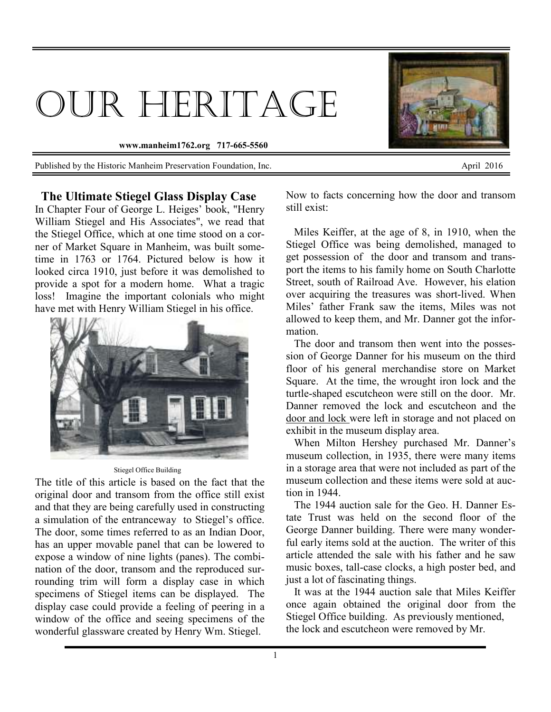## OUR HERITAGE

**www.manheim1762.org 717-665-5560** 

Published by the Historic Manheim Preservation Foundation, Inc. April 2016



 **The Ultimate Stiegel Glass Display Case**  In Chapter Four of George L. Heiges' book, "Henry William Stiegel and His Associates", we read that the Stiegel Office, which at one time stood on a corner of Market Square in Manheim, was built sometime in 1763 or 1764. Pictured below is how it looked circa 1910, just before it was demolished to provide a spot for a modern home. What a tragic loss! Imagine the important colonials who might have met with Henry William Stiegel in his office.



Stiegel Office Building

The title of this article is based on the fact that the original door and transom from the office still exist and that they are being carefully used in constructing a simulation of the entranceway to Stiegel's office. The door, some times referred to as an Indian Door, has an upper movable panel that can be lowered to expose a window of nine lights (panes). The combination of the door, transom and the reproduced surrounding trim will form a display case in which specimens of Stiegel items can be displayed. The display case could provide a feeling of peering in a window of the office and seeing specimens of the wonderful glassware created by Henry Wm. Stiegel.

Now to facts concerning how the door and transom still exist:

 Miles Keiffer, at the age of 8, in 1910, when the Stiegel Office was being demolished, managed to get possession of the door and transom and transport the items to his family home on South Charlotte Street, south of Railroad Ave. However, his elation over acquiring the treasures was short-lived. When Miles' father Frank saw the items, Miles was not allowed to keep them, and Mr. Danner got the information.

 The door and transom then went into the possession of George Danner for his museum on the third floor of his general merchandise store on Market Square. At the time, the wrought iron lock and the turtle-shaped escutcheon were still on the door. Mr. Danner removed the lock and escutcheon and the door and lock were left in storage and not placed on exhibit in the museum display area.

 When Milton Hershey purchased Mr. Danner's museum collection, in 1935, there were many items in a storage area that were not included as part of the museum collection and these items were sold at auction in 1944.

 The 1944 auction sale for the Geo. H. Danner Estate Trust was held on the second floor of the George Danner building. There were many wonderful early items sold at the auction. The writer of this article attended the sale with his father and he saw music boxes, tall-case clocks, a high poster bed, and just a lot of fascinating things.

 It was at the 1944 auction sale that Miles Keiffer once again obtained the original door from the Stiegel Office building. As previously mentioned, the lock and escutcheon were removed by Mr.